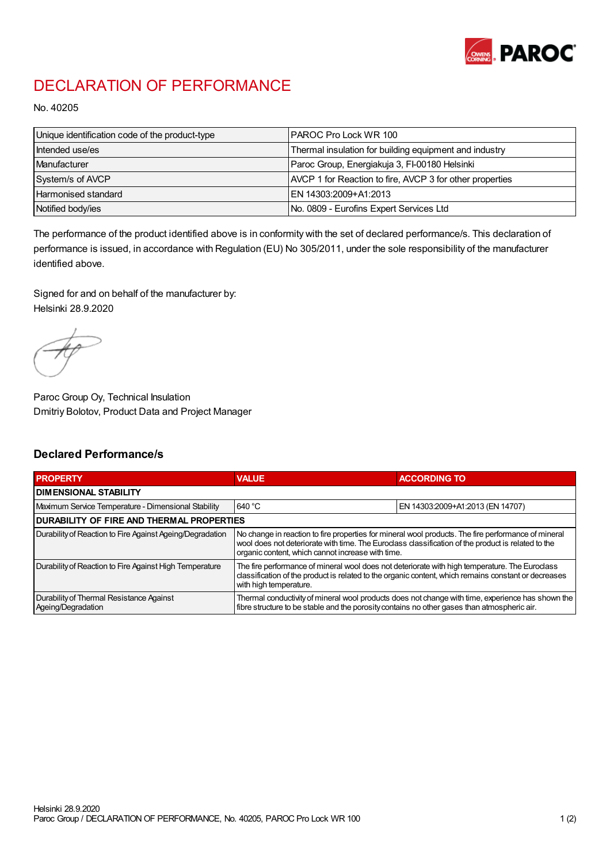

## DECLARATION OF PERFORMANCE

No. 40205

| Unique identification code of the product-type | IPAROC Pro Lock WR 100                                   |
|------------------------------------------------|----------------------------------------------------------|
| Intended use/es                                | Thermal insulation for building equipment and industry   |
| Manufacturer                                   | Paroc Group, Energiakuja 3, FI-00180 Helsinki            |
| System/s of AVCP                               | AVCP 1 for Reaction to fire, AVCP 3 for other properties |
| Harmonised standard                            | IEN 14303:2009+A1:2013                                   |
| Notified body/ies                              | No. 0809 - Eurofins Expert Services Ltd                  |

The performance of the product identified above is in conformity with the set of declared performance/s. This declaration of performance is issued, in accordance with Regulation (EU) No 305/2011, under the sole responsibility of the manufacturer identified above.

Signed for and on behalf of the manufacturer by: Helsinki 28.9.2020

Paroc Group Oy, Technical Insulation Dmitriy Bolotov, Product Data and Project Manager

## Declared Performance/s

| <b>PROPERTY</b>                                                | <b>VALUE</b>                                                                                                                                                                                                                                                   | <b>ACCORDING TO</b>              |  |
|----------------------------------------------------------------|----------------------------------------------------------------------------------------------------------------------------------------------------------------------------------------------------------------------------------------------------------------|----------------------------------|--|
| <b>DIMENSIONAL STABILITY</b>                                   |                                                                                                                                                                                                                                                                |                                  |  |
| Maximum Service Temperature - Dimensional Stability            | 640 °C                                                                                                                                                                                                                                                         | EN 14303:2009+A1:2013 (EN 14707) |  |
| <b>DURABILITY OF FIRE AND THERMAL PROPERTIES</b>               |                                                                                                                                                                                                                                                                |                                  |  |
| Durability of Reaction to Fire Against Ageing/Degradation      | No change in reaction to fire properties for mineral wool products. The fire performance of mineral<br>wool does not deteriorate with time. The Euroclass classification of the product is related to the<br>organic content, which cannot increase with time. |                                  |  |
| Durability of Reaction to Fire Against High Temperature        | The fire performance of mineral wool does not deteriorate with high temperature. The Euroclass<br>classification of the product is related to the organic content, which remains constant or decreases<br>with high temperature.                               |                                  |  |
| Durability of Thermal Resistance Against<br>Ageing/Degradation | Thermal conductivity of mineral wool products does not change with time, experience has shown the<br>fibre structure to be stable and the porosity contains no other gases than atmospheric air.                                                               |                                  |  |